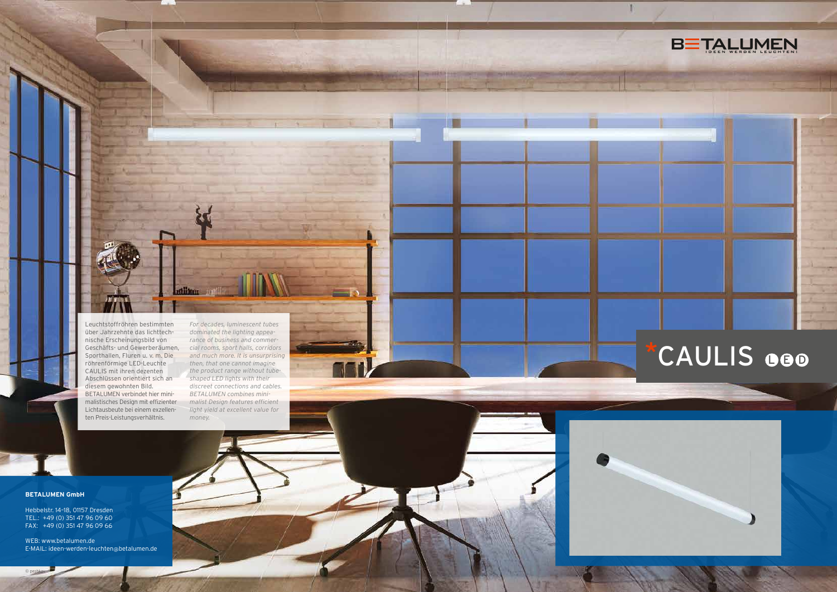Leuchtstoffröhren bestimmten über Jahrzehnte das lichttechnische Erscheinungsbild von Geschäfts- und Gewerberäumen, Sporthallen, Fluren u. v. m. Die röhrenförmige LED-Leuchte CAULIS mit ihren dezenten Abschlüssen orientiert sich an diesem gewohnten Bild. BETALUMEN verbindet hier minimalistisches Design mit effizienter Lichtausbeute bei einem exzellenten Preis-Leistungsverhältnis.

*For decades, luminescent tubes dominated the lighting appearance of business and commercial rooms, sport halls, corridors and much more. It is unsurprising then, that one cannot imagine the product range without tubeshaped LED lights with their discreet connections and cables. BETALUMEN combines minimalist Design features efficient light yield at excellent value for money.* 

**Institutes** 

# **BETALUMEN GmbH**

© peshko

Hebbelstr. 14–18, 01157 Dresden TEL.: +49 (0) 351 47 96 09 60 FAX: +49 (0) 351 47 96 09 66

WEB: www.betalumen.de E-MAIL: ideen-werden-leuchten@betalumen.de